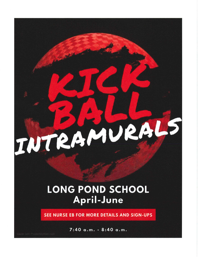## INTRAMURALS

## **LONG POND SCHOOL** April-June

SEE NURSE EB FOR MORE DETAILS AND SIGN-UPS

7:40 a.m. - 8:40 a.m.